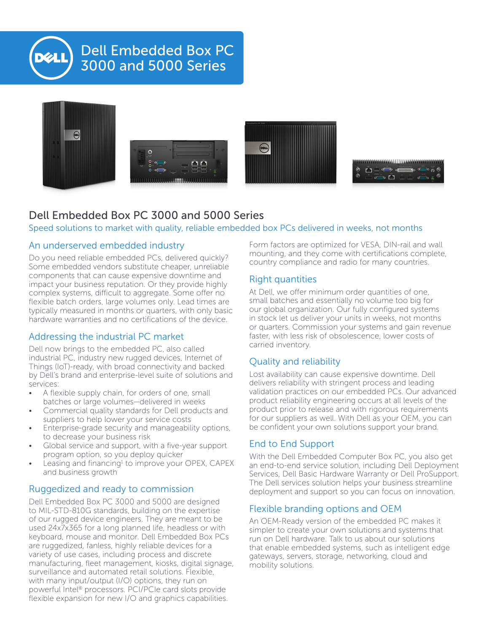

# Dell Embedded Box PC 3000 and 5000 Series



### Dell Embedded Box PC 3000 and 5000 Series

Speed solutions to market with quality, reliable embedded box PCs delivered in weeks, not months

#### An underserved embedded industry

Do you need reliable embedded PCs, delivered quickly? Some embedded vendors substitute cheaper, unreliable components that can cause expensive downtime and impact your business reputation. Or they provide highly complex systems, difficult to aggregate. Some offer no flexible batch orders, large volumes only. Lead times are typically measured in months or quarters, with only basic hardware warranties and no certifications of the device.

#### Addressing the industrial PC market

Dell now brings to the embedded PC, also called industrial PC, industry new rugged devices, Internet of Things (IoT)-ready, with broad connectivity and backed by Dell's brand and enterprise-level suite of solutions and services:

- A flexible supply chain, for orders of one, small batches or large volumes—delivered in weeks
- Commercial quality standards for Dell products and suppliers to help lower your service costs
- Enterprise-grade security and manageability options, to decrease your business risk
- Global service and support, with a five-year support program option, so you deploy quicker
- Leasing and financing<sup>1</sup> to improve your OPEX, CAPEX and business growth

#### Ruggedized and ready to commission

Dell Embedded Box PC 3000 and 5000 are designed to MIL-STD-810G standards, building on the expertise of our rugged device engineers. They are meant to be used 24x7x365 for a long planned life, headless or with keyboard, mouse and monitor. Dell Embedded Box PCs are ruggedized, fanless, highly reliable devices for a variety of use cases, including process and discrete manufacturing, fleet management, kiosks, digital signage, surveillance and automated retail solutions. Flexible, with many input/output (I/O) options, they run on powerful Intel® processors. PCI/PCIe card slots provide flexible expansion for new I/O and graphics capabilities.

Form factors are optimized for VESA, DIN-rail and wall mounting, and they come with certifications complete, country compliance and radio for many countries.

#### Right quantities

At Dell, we offer minimum order quantities of one, small batches and essentially no volume too big for our global organization. Our fully configured systems in stock let us deliver your units in weeks, not months or quarters. Commission your systems and gain revenue faster, with less risk of obsolescence, lower costs of carried inventory.

#### Quality and reliability

Lost availability can cause expensive downtime. Dell delivers reliability with stringent process and leading validation practices on our embedded PCs. Our advanced product reliability engineering occurs at all levels of the product prior to release and with rigorous requirements for our suppliers as well. With Dell as your OEM, you can be confident your own solutions support your brand.

### End to End Support

With the Dell Embedded Computer Box PC, you also get an end-to-end service solution, including Dell Deployment Services, Dell Basic Hardware Warranty or Dell ProSupport. The Dell services solution helps your business streamline deployment and support so you can focus on innovation.

#### Flexible branding options and OEM

An OEM-Ready version of the embedded PC makes it simpler to create your own solutions and systems that run on Dell hardware. Talk to us about our solutions that enable embedded systems, such as intelligent edge gateways, servers, storage, networking, cloud and mobility solutions.